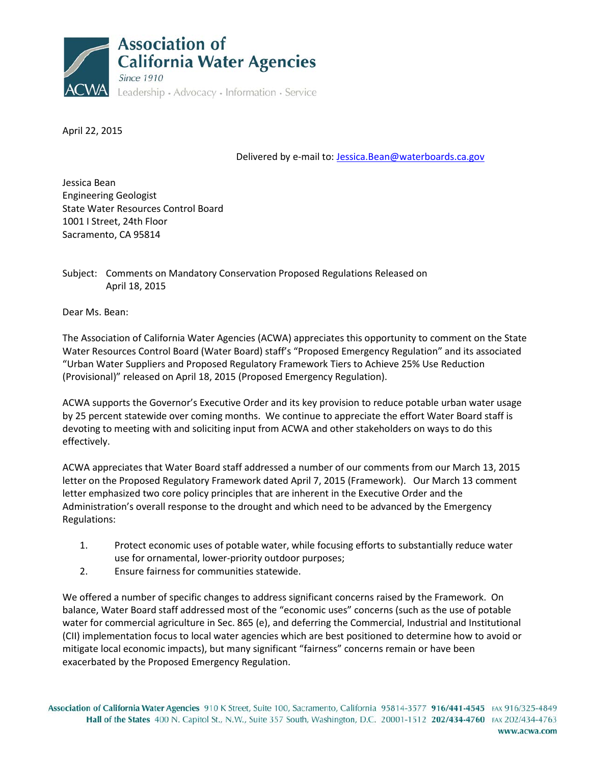

April 22, 2015

Delivered by e-mail to: [Jessica.Bean@waterboards.ca.gov](mailto:Jessica.Bean@waterboards.ca.gov)

Jessica Bean Engineering Geologist State Water Resources Control Board 1001 I Street, 24th Floor Sacramento, CA 95814

# Subject: Comments on Mandatory Conservation Proposed Regulations Released on April 18, 2015

Dear Ms. Bean:

The Association of California Water Agencies (ACWA) appreciates this opportunity to comment on the State Water Resources Control Board (Water Board) staff's "Proposed Emergency Regulation" and its associated "Urban Water Suppliers and Proposed Regulatory Framework Tiers to Achieve 25% Use Reduction (Provisional)" released on April 18, 2015 (Proposed Emergency Regulation).

ACWA supports the Governor's Executive Order and its key provision to reduce potable urban water usage by 25 percent statewide over coming months. We continue to appreciate the effort Water Board staff is devoting to meeting with and soliciting input from ACWA and other stakeholders on ways to do this effectively.

ACWA appreciates that Water Board staff addressed a number of our comments from our March 13, 2015 letter on the Proposed Regulatory Framework dated April 7, 2015 (Framework). Our March 13 comment letter emphasized two core policy principles that are inherent in the Executive Order and the Administration's overall response to the drought and which need to be advanced by the Emergency Regulations:

- 1. Protect economic uses of potable water, while focusing efforts to substantially reduce water use for ornamental, lower-priority outdoor purposes;
- 2. Ensure fairness for communities statewide.

We offered a number of specific changes to address significant concerns raised by the Framework. On balance, Water Board staff addressed most of the "economic uses" concerns (such as the use of potable water for commercial agriculture in Sec. 865 (e), and deferring the Commercial, Industrial and Institutional (CII) implementation focus to local water agencies which are best positioned to determine how to avoid or mitigate local economic impacts), but many significant "fairness" concerns remain or have been exacerbated by the Proposed Emergency Regulation.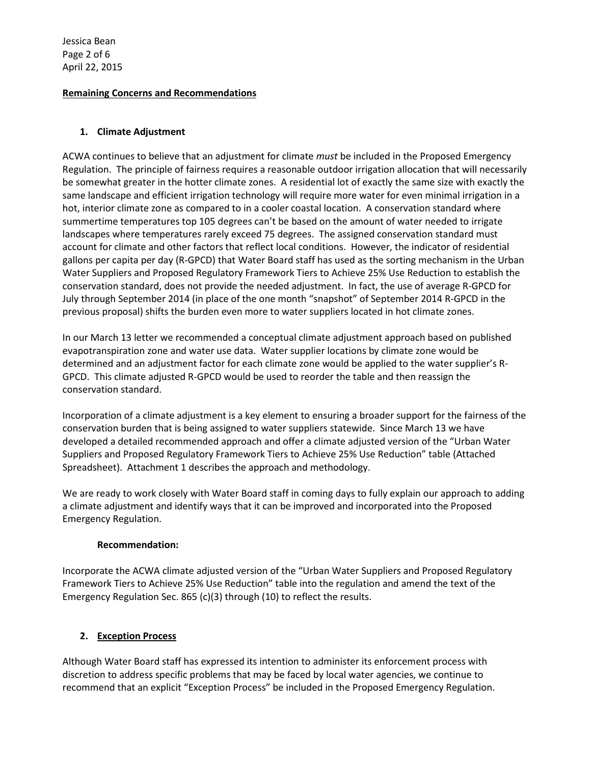Jessica Bean Page 2 of 6 April 22, 2015

## **Remaining Concerns and Recommendations**

## **1. Climate Adjustment**

ACWA continues to believe that an adjustment for climate *must* be included in the Proposed Emergency Regulation. The principle of fairness requires a reasonable outdoor irrigation allocation that will necessarily be somewhat greater in the hotter climate zones. A residential lot of exactly the same size with exactly the same landscape and efficient irrigation technology will require more water for even minimal irrigation in a hot, interior climate zone as compared to in a cooler coastal location. A conservation standard where summertime temperatures top 105 degrees can't be based on the amount of water needed to irrigate landscapes where temperatures rarely exceed 75 degrees. The assigned conservation standard must account for climate and other factors that reflect local conditions. However, the indicator of residential gallons per capita per day (R-GPCD) that Water Board staff has used as the sorting mechanism in the Urban Water Suppliers and Proposed Regulatory Framework Tiers to Achieve 25% Use Reduction to establish the conservation standard, does not provide the needed adjustment. In fact, the use of average R-GPCD for July through September 2014 (in place of the one month "snapshot" of September 2014 R-GPCD in the previous proposal) shifts the burden even more to water suppliers located in hot climate zones.

In our March 13 letter we recommended a conceptual climate adjustment approach based on published evapotranspiration zone and water use data. Water supplier locations by climate zone would be determined and an adjustment factor for each climate zone would be applied to the water supplier's R-GPCD. This climate adjusted R-GPCD would be used to reorder the table and then reassign the conservation standard.

Incorporation of a climate adjustment is a key element to ensuring a broader support for the fairness of the conservation burden that is being assigned to water suppliers statewide. Since March 13 we have developed a detailed recommended approach and offer a climate adjusted version of the "Urban Water Suppliers and Proposed Regulatory Framework Tiers to Achieve 25% Use Reduction" table (Attached Spreadsheet). Attachment 1 describes the approach and methodology.

We are ready to work closely with Water Board staff in coming days to fully explain our approach to adding a climate adjustment and identify ways that it can be improved and incorporated into the Proposed Emergency Regulation.

### **Recommendation:**

Incorporate the ACWA climate adjusted version of the "Urban Water Suppliers and Proposed Regulatory Framework Tiers to Achieve 25% Use Reduction" table into the regulation and amend the text of the Emergency Regulation Sec. 865 (c)(3) through (10) to reflect the results.

## **2. Exception Process**

Although Water Board staff has expressed its intention to administer its enforcement process with discretion to address specific problems that may be faced by local water agencies, we continue to recommend that an explicit "Exception Process" be included in the Proposed Emergency Regulation.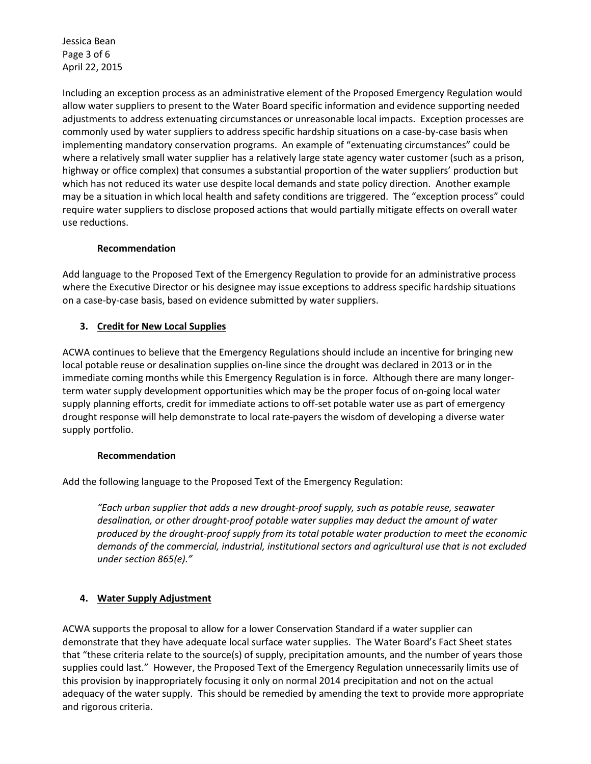Jessica Bean Page 3 of 6 April 22, 2015

Including an exception process as an administrative element of the Proposed Emergency Regulation would allow water suppliers to present to the Water Board specific information and evidence supporting needed adjustments to address extenuating circumstances or unreasonable local impacts. Exception processes are commonly used by water suppliers to address specific hardship situations on a case-by-case basis when implementing mandatory conservation programs. An example of "extenuating circumstances" could be where a relatively small water supplier has a relatively large state agency water customer (such as a prison, highway or office complex) that consumes a substantial proportion of the water suppliers' production but which has not reduced its water use despite local demands and state policy direction. Another example may be a situation in which local health and safety conditions are triggered. The "exception process" could require water suppliers to disclose proposed actions that would partially mitigate effects on overall water use reductions.

## **Recommendation**

Add language to the Proposed Text of the Emergency Regulation to provide for an administrative process where the Executive Director or his designee may issue exceptions to address specific hardship situations on a case-by-case basis, based on evidence submitted by water suppliers.

## **3. Credit for New Local Supplies**

ACWA continues to believe that the Emergency Regulations should include an incentive for bringing new local potable reuse or desalination supplies on-line since the drought was declared in 2013 or in the immediate coming months while this Emergency Regulation is in force. Although there are many longerterm water supply development opportunities which may be the proper focus of on-going local water supply planning efforts, credit for immediate actions to off-set potable water use as part of emergency drought response will help demonstrate to local rate-payers the wisdom of developing a diverse water supply portfolio.

### **Recommendation**

Add the following language to the Proposed Text of the Emergency Regulation:

*"Each urban supplier that adds a new drought-proof supply, such as potable reuse, seawater desalination, or other drought-proof potable water supplies may deduct the amount of water produced by the drought-proof supply from its total potable water production to meet the economic demands of the commercial, industrial, institutional sectors and agricultural use that is not excluded under section 865(e)."*

## **4. Water Supply Adjustment**

ACWA supports the proposal to allow for a lower Conservation Standard if a water supplier can demonstrate that they have adequate local surface water supplies. The Water Board's Fact Sheet states that "these criteria relate to the source(s) of supply, precipitation amounts, and the number of years those supplies could last." However, the Proposed Text of the Emergency Regulation unnecessarily limits use of this provision by inappropriately focusing it only on normal 2014 precipitation and not on the actual adequacy of the water supply. This should be remedied by amending the text to provide more appropriate and rigorous criteria.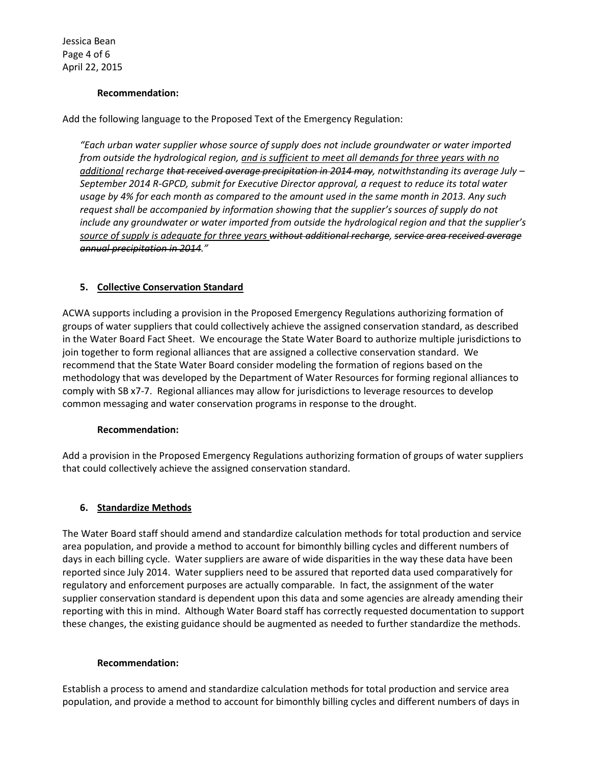Jessica Bean Page 4 of 6 April 22, 2015

### **Recommendation:**

Add the following language to the Proposed Text of the Emergency Regulation:

*"Each urban water supplier whose source of supply does not include groundwater or water imported from outside the hydrological region, and is sufficient to meet all demands for three years with no additional recharge that received average precipitation in 2014 may, notwithstanding its average July – September 2014 R-GPCD, submit for Executive Director approval, a request to reduce its total water usage by 4% for each month as compared to the amount used in the same month in 2013. Any such request shall be accompanied by information showing that the supplier's sources of supply do not include any groundwater or water imported from outside the hydrological region and that the supplier's source of supply is adequate for three years without additional recharge, service area received average annual precipitation in 2014."*

## **5. Collective Conservation Standard**

ACWA supports including a provision in the Proposed Emergency Regulations authorizing formation of groups of water suppliers that could collectively achieve the assigned conservation standard, as described in the Water Board Fact Sheet. We encourage the State Water Board to authorize multiple jurisdictions to join together to form regional alliances that are assigned a collective conservation standard. We recommend that the State Water Board consider modeling the formation of regions based on the methodology that was developed by the Department of Water Resources for forming regional alliances to comply with SB x7-7. Regional alliances may allow for jurisdictions to leverage resources to develop common messaging and water conservation programs in response to the drought.

### **Recommendation:**

Add a provision in the Proposed Emergency Regulations authorizing formation of groups of water suppliers that could collectively achieve the assigned conservation standard.

### **6. Standardize Methods**

The Water Board staff should amend and standardize calculation methods for total production and service area population, and provide a method to account for bimonthly billing cycles and different numbers of days in each billing cycle. Water suppliers are aware of wide disparities in the way these data have been reported since July 2014. Water suppliers need to be assured that reported data used comparatively for regulatory and enforcement purposes are actually comparable. In fact, the assignment of the water supplier conservation standard is dependent upon this data and some agencies are already amending their reporting with this in mind. Although Water Board staff has correctly requested documentation to support these changes, the existing guidance should be augmented as needed to further standardize the methods.

#### **Recommendation:**

Establish a process to amend and standardize calculation methods for total production and service area population, and provide a method to account for bimonthly billing cycles and different numbers of days in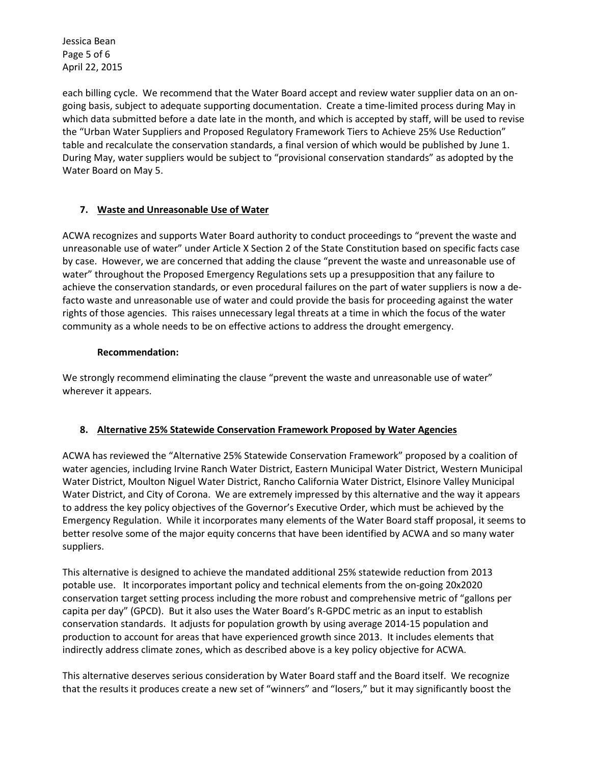Jessica Bean Page 5 of 6 April 22, 2015

each billing cycle. We recommend that the Water Board accept and review water supplier data on an ongoing basis, subject to adequate supporting documentation. Create a time-limited process during May in which data submitted before a date late in the month, and which is accepted by staff, will be used to revise the "Urban Water Suppliers and Proposed Regulatory Framework Tiers to Achieve 25% Use Reduction" table and recalculate the conservation standards, a final version of which would be published by June 1. During May, water suppliers would be subject to "provisional conservation standards" as adopted by the Water Board on May 5.

## **7. Waste and Unreasonable Use of Water**

ACWA recognizes and supports Water Board authority to conduct proceedings to "prevent the waste and unreasonable use of water" under Article X Section 2 of the State Constitution based on specific facts case by case. However, we are concerned that adding the clause "prevent the waste and unreasonable use of water" throughout the Proposed Emergency Regulations sets up a presupposition that any failure to achieve the conservation standards, or even procedural failures on the part of water suppliers is now a defacto waste and unreasonable use of water and could provide the basis for proceeding against the water rights of those agencies. This raises unnecessary legal threats at a time in which the focus of the water community as a whole needs to be on effective actions to address the drought emergency.

### **Recommendation:**

We strongly recommend eliminating the clause "prevent the waste and unreasonable use of water" wherever it appears.

## **8. Alternative 25% Statewide Conservation Framework Proposed by Water Agencies**

ACWA has reviewed the "Alternative 25% Statewide Conservation Framework" proposed by a coalition of water agencies, including Irvine Ranch Water District, Eastern Municipal Water District, Western Municipal Water District, Moulton Niguel Water District, Rancho California Water District, Elsinore Valley Municipal Water District, and City of Corona. We are extremely impressed by this alternative and the way it appears to address the key policy objectives of the Governor's Executive Order, which must be achieved by the Emergency Regulation. While it incorporates many elements of the Water Board staff proposal, it seems to better resolve some of the major equity concerns that have been identified by ACWA and so many water suppliers.

This alternative is designed to achieve the mandated additional 25% statewide reduction from 2013 potable use. It incorporates important policy and technical elements from the on-going 20x2020 conservation target setting process including the more robust and comprehensive metric of "gallons per capita per day" (GPCD). But it also uses the Water Board's R-GPDC metric as an input to establish conservation standards. It adjusts for population growth by using average 2014-15 population and production to account for areas that have experienced growth since 2013. It includes elements that indirectly address climate zones, which as described above is a key policy objective for ACWA.

This alternative deserves serious consideration by Water Board staff and the Board itself. We recognize that the results it produces create a new set of "winners" and "losers," but it may significantly boost the